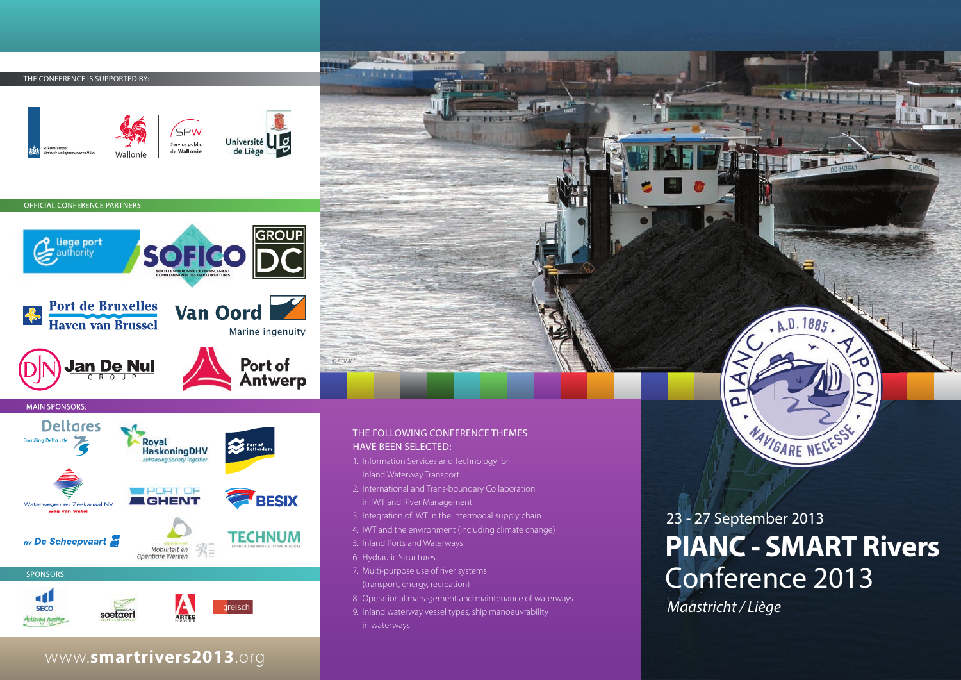THE CONFERENCE IS SUPPORTED BY



#### OFFICIAL CONFERENCE PARTNERS

d٤

**SECO** 





# THE FOLLOWING CONFERENCE THEMES HAVE BEEN SELECTED:

- 1. Information Services and Technology for Inland Waterway Transport
- 2. International and Trans-boundary Collaboration in IWT and River Management
- 3. Integration of IWT in the intermodal supply chain
- 4. IWT and the environment (including climate change)
- 5. Inland Ports and Waterways
- 6. Hydraulic Structures

**COLORED BY** 

*© SOMEF*

- 7. Multi-purpose use of river systems (transport, energy, recreation)
- 8. Operational management and maintenance of waterways
- 9. Inland waterway vessel types, ship manoeuvrability
- in waterways

# **PIANC - SMART Rivers** Conference 2013 23 - 27 September 2013

 $R. D. 1885$ 

MAVIGARE NECE

**LEARNING COMPANY** 

*Maastricht / Liège*

n

# www.**smartrivers2013**.org

ARTES

soetaer

**preisch**